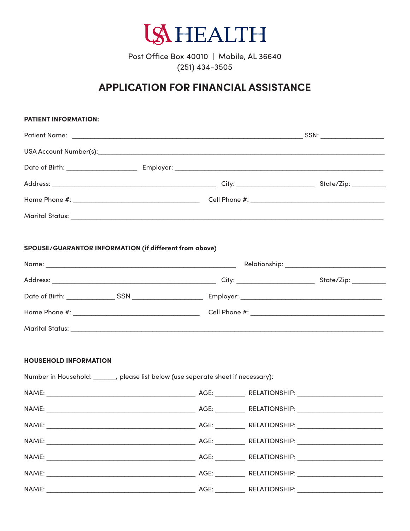

Post Office Box 40010 | Mobile, AL 36640  $(251)$  434-3505

## **APPLICATION FOR FINANCIAL ASSISTANCE**

| <b>PATIENT INFORMATION:</b>                            |                                                                                    |  |  |
|--------------------------------------------------------|------------------------------------------------------------------------------------|--|--|
|                                                        |                                                                                    |  |  |
|                                                        |                                                                                    |  |  |
|                                                        |                                                                                    |  |  |
|                                                        |                                                                                    |  |  |
|                                                        |                                                                                    |  |  |
|                                                        |                                                                                    |  |  |
| SPOUSE/GUARANTOR INFORMATION (if different from above) |                                                                                    |  |  |
|                                                        |                                                                                    |  |  |
|                                                        |                                                                                    |  |  |
|                                                        |                                                                                    |  |  |
|                                                        |                                                                                    |  |  |
| <b>HOUSEHOLD INFORMATION</b>                           | Number in Household: _______, please list below (use separate sheet if necessary): |  |  |
|                                                        |                                                                                    |  |  |
|                                                        |                                                                                    |  |  |
|                                                        |                                                                                    |  |  |
|                                                        |                                                                                    |  |  |
|                                                        |                                                                                    |  |  |
|                                                        |                                                                                    |  |  |
|                                                        |                                                                                    |  |  |